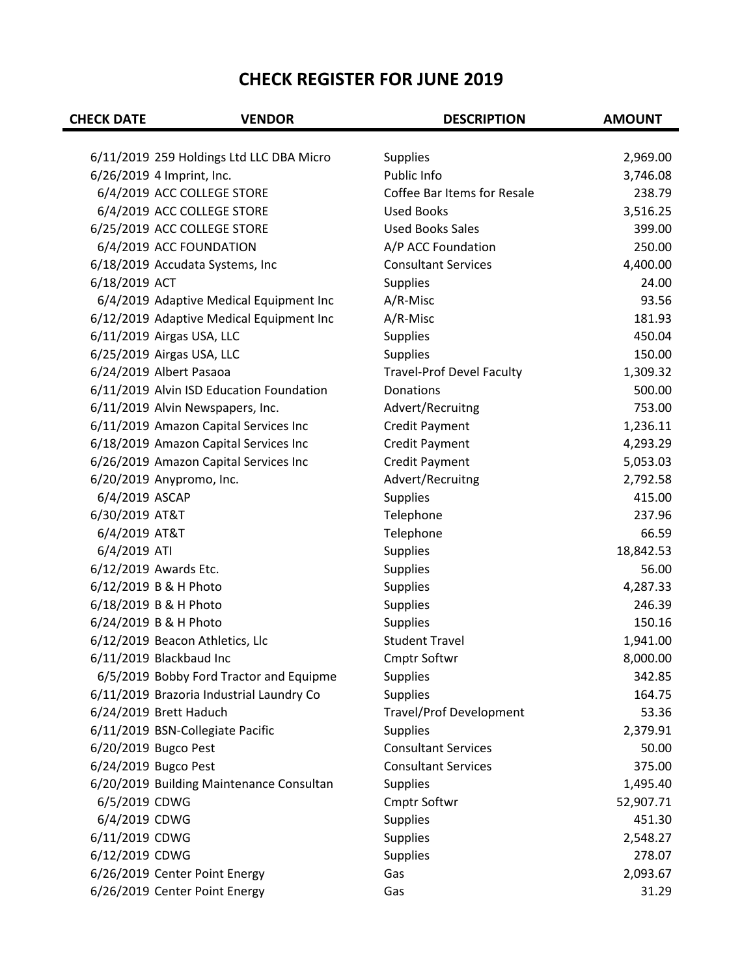## **CHECK REGISTER FOR JUNE 2019**

| <b>CHECK DATE</b> | <b>VENDOR</b>                            | <b>DESCRIPTION</b>               | <b>AMOUNT</b> |
|-------------------|------------------------------------------|----------------------------------|---------------|
|                   |                                          |                                  |               |
|                   | 6/11/2019 259 Holdings Ltd LLC DBA Micro | <b>Supplies</b>                  | 2,969.00      |
|                   | 6/26/2019 4 Imprint, Inc.                | Public Info                      | 3,746.08      |
|                   | 6/4/2019 ACC COLLEGE STORE               | Coffee Bar Items for Resale      | 238.79        |
|                   | 6/4/2019 ACC COLLEGE STORE               | <b>Used Books</b>                | 3,516.25      |
|                   | 6/25/2019 ACC COLLEGE STORE              | <b>Used Books Sales</b>          | 399.00        |
|                   | 6/4/2019 ACC FOUNDATION                  | A/P ACC Foundation               | 250.00        |
|                   | 6/18/2019 Accudata Systems, Inc          | <b>Consultant Services</b>       | 4,400.00      |
| 6/18/2019 ACT     |                                          | <b>Supplies</b>                  | 24.00         |
|                   | 6/4/2019 Adaptive Medical Equipment Inc  | A/R-Misc                         | 93.56         |
|                   | 6/12/2019 Adaptive Medical Equipment Inc | A/R-Misc                         | 181.93        |
|                   | 6/11/2019 Airgas USA, LLC                | <b>Supplies</b>                  | 450.04        |
|                   | 6/25/2019 Airgas USA, LLC                | <b>Supplies</b>                  | 150.00        |
|                   | 6/24/2019 Albert Pasaoa                  | <b>Travel-Prof Devel Faculty</b> | 1,309.32      |
|                   | 6/11/2019 Alvin ISD Education Foundation | Donations                        | 500.00        |
|                   | 6/11/2019 Alvin Newspapers, Inc.         | Advert/Recruitng                 | 753.00        |
|                   | 6/11/2019 Amazon Capital Services Inc    | <b>Credit Payment</b>            | 1,236.11      |
|                   | 6/18/2019 Amazon Capital Services Inc    | <b>Credit Payment</b>            | 4,293.29      |
|                   | 6/26/2019 Amazon Capital Services Inc    | <b>Credit Payment</b>            | 5,053.03      |
|                   | 6/20/2019 Anypromo, Inc.                 | Advert/Recruitng                 | 2,792.58      |
| 6/4/2019 ASCAP    |                                          | <b>Supplies</b>                  | 415.00        |
| 6/30/2019 AT&T    |                                          | Telephone                        | 237.96        |
| 6/4/2019 AT&T     |                                          | Telephone                        | 66.59         |
| 6/4/2019 ATI      |                                          | <b>Supplies</b>                  | 18,842.53     |
|                   | 6/12/2019 Awards Etc.                    | <b>Supplies</b>                  | 56.00         |
|                   | 6/12/2019 B & H Photo                    | <b>Supplies</b>                  | 4,287.33      |
|                   | 6/18/2019 B & H Photo                    | <b>Supplies</b>                  | 246.39        |
|                   | 6/24/2019 B & H Photo                    | <b>Supplies</b>                  | 150.16        |
|                   | 6/12/2019 Beacon Athletics, Llc          | <b>Student Travel</b>            | 1,941.00      |
|                   | 6/11/2019 Blackbaud Inc                  | Cmptr Softwr                     | 8,000.00      |
|                   | 6/5/2019 Bobby Ford Tractor and Equipme  | <b>Supplies</b>                  | 342.85        |
|                   | 6/11/2019 Brazoria Industrial Laundry Co | <b>Supplies</b>                  | 164.75        |
|                   | 6/24/2019 Brett Haduch                   | <b>Travel/Prof Development</b>   | 53.36         |
|                   | 6/11/2019 BSN-Collegiate Pacific         | <b>Supplies</b>                  | 2,379.91      |
|                   | 6/20/2019 Bugco Pest                     | <b>Consultant Services</b>       | 50.00         |
|                   | 6/24/2019 Bugco Pest                     | <b>Consultant Services</b>       | 375.00        |
|                   | 6/20/2019 Building Maintenance Consultan | <b>Supplies</b>                  | 1,495.40      |
| 6/5/2019 CDWG     |                                          | Cmptr Softwr                     | 52,907.71     |
| 6/4/2019 CDWG     |                                          | <b>Supplies</b>                  | 451.30        |
| 6/11/2019 CDWG    |                                          | <b>Supplies</b>                  | 2,548.27      |
| 6/12/2019 CDWG    |                                          | <b>Supplies</b>                  | 278.07        |
|                   | 6/26/2019 Center Point Energy            | Gas                              | 2,093.67      |
|                   | 6/26/2019 Center Point Energy            | Gas                              | 31.29         |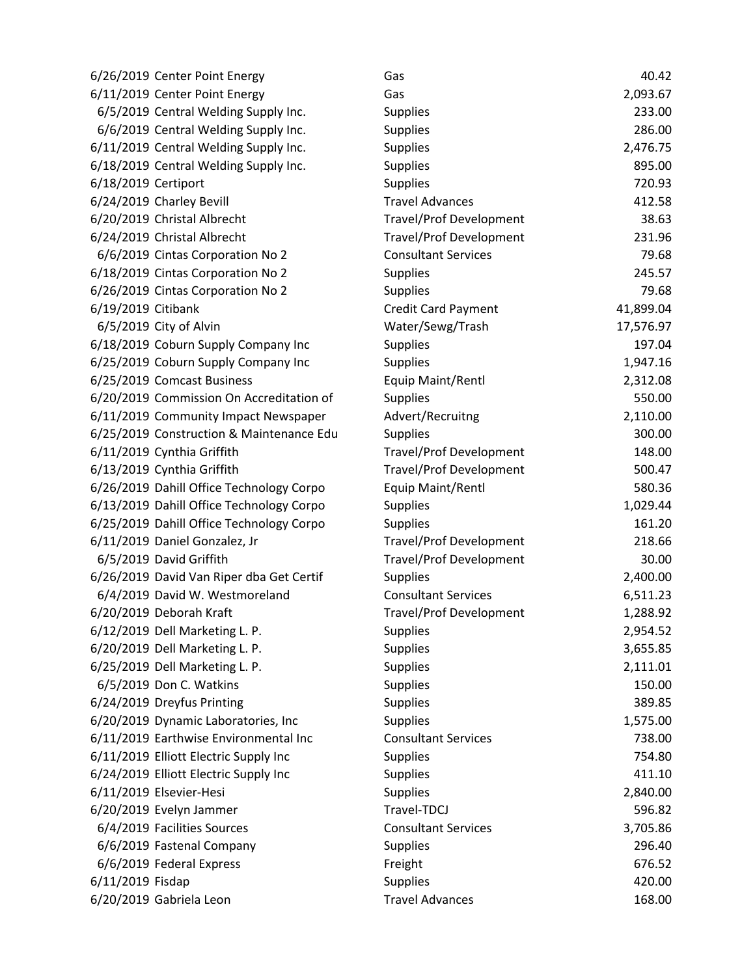| 6/26/2019 Center Point Energy            | Gas                            | 40.42     |
|------------------------------------------|--------------------------------|-----------|
| 6/11/2019 Center Point Energy            | Gas                            | 2,093.67  |
| 6/5/2019 Central Welding Supply Inc.     | Supplies                       | 233.00    |
| 6/6/2019 Central Welding Supply Inc.     | <b>Supplies</b>                | 286.00    |
| 6/11/2019 Central Welding Supply Inc.    | <b>Supplies</b>                | 2,476.75  |
| 6/18/2019 Central Welding Supply Inc.    | <b>Supplies</b>                | 895.00    |
| 6/18/2019 Certiport                      | <b>Supplies</b>                | 720.93    |
| 6/24/2019 Charley Bevill                 | <b>Travel Advances</b>         | 412.58    |
| 6/20/2019 Christal Albrecht              | <b>Travel/Prof Development</b> | 38.63     |
| 6/24/2019 Christal Albrecht              | Travel/Prof Development        | 231.96    |
| 6/6/2019 Cintas Corporation No 2         | <b>Consultant Services</b>     | 79.68     |
| 6/18/2019 Cintas Corporation No 2        | Supplies                       | 245.57    |
| 6/26/2019 Cintas Corporation No 2        | <b>Supplies</b>                | 79.68     |
| 6/19/2019 Citibank                       | Credit Card Payment            | 41,899.04 |
| 6/5/2019 City of Alvin                   | Water/Sewg/Trash               | 17,576.97 |
| 6/18/2019 Coburn Supply Company Inc      | <b>Supplies</b>                | 197.04    |
| 6/25/2019 Coburn Supply Company Inc      | <b>Supplies</b>                | 1,947.16  |
| 6/25/2019 Comcast Business               | Equip Maint/Rentl              | 2,312.08  |
| 6/20/2019 Commission On Accreditation of | <b>Supplies</b>                | 550.00    |
| 6/11/2019 Community Impact Newspaper     | Advert/Recruitng               | 2,110.00  |
| 6/25/2019 Construction & Maintenance Edu | <b>Supplies</b>                | 300.00    |
| 6/11/2019 Cynthia Griffith               | <b>Travel/Prof Development</b> | 148.00    |
| 6/13/2019 Cynthia Griffith               | <b>Travel/Prof Development</b> | 500.47    |
| 6/26/2019 Dahill Office Technology Corpo | Equip Maint/Rentl              | 580.36    |
| 6/13/2019 Dahill Office Technology Corpo | <b>Supplies</b>                | 1,029.44  |
| 6/25/2019 Dahill Office Technology Corpo | <b>Supplies</b>                | 161.20    |
| 6/11/2019 Daniel Gonzalez, Jr            | <b>Travel/Prof Development</b> | 218.66    |
| 6/5/2019 David Griffith                  | <b>Travel/Prof Development</b> | 30.00     |
| 6/26/2019 David Van Riper dba Get Certif | <b>Supplies</b>                | 2,400.00  |
| 6/4/2019 David W. Westmoreland           | <b>Consultant Services</b>     | 6,511.23  |
| 6/20/2019 Deborah Kraft                  | <b>Travel/Prof Development</b> | 1,288.92  |
| 6/12/2019 Dell Marketing L. P.           | <b>Supplies</b>                | 2,954.52  |
| 6/20/2019 Dell Marketing L. P.           | <b>Supplies</b>                | 3,655.85  |
| 6/25/2019 Dell Marketing L. P.           | <b>Supplies</b>                | 2,111.01  |
| 6/5/2019 Don C. Watkins                  | <b>Supplies</b>                | 150.00    |
| 6/24/2019 Dreyfus Printing               | <b>Supplies</b>                | 389.85    |
| 6/20/2019 Dynamic Laboratories, Inc      | <b>Supplies</b>                | 1,575.00  |
| 6/11/2019 Earthwise Environmental Inc    | <b>Consultant Services</b>     | 738.00    |
| 6/11/2019 Elliott Electric Supply Inc    | Supplies                       | 754.80    |
| 6/24/2019 Elliott Electric Supply Inc    | <b>Supplies</b>                | 411.10    |
| 6/11/2019 Elsevier-Hesi                  | <b>Supplies</b>                | 2,840.00  |
| 6/20/2019 Evelyn Jammer                  | Travel-TDCJ                    | 596.82    |
| 6/4/2019 Facilities Sources              | <b>Consultant Services</b>     | 3,705.86  |
| 6/6/2019 Fastenal Company                | <b>Supplies</b>                | 296.40    |
| 6/6/2019 Federal Express                 | Freight                        | 676.52    |
| 6/11/2019 Fisdap                         | <b>Supplies</b>                | 420.00    |
| 6/20/2019 Gabriela Leon                  | <b>Travel Advances</b>         | 168.00    |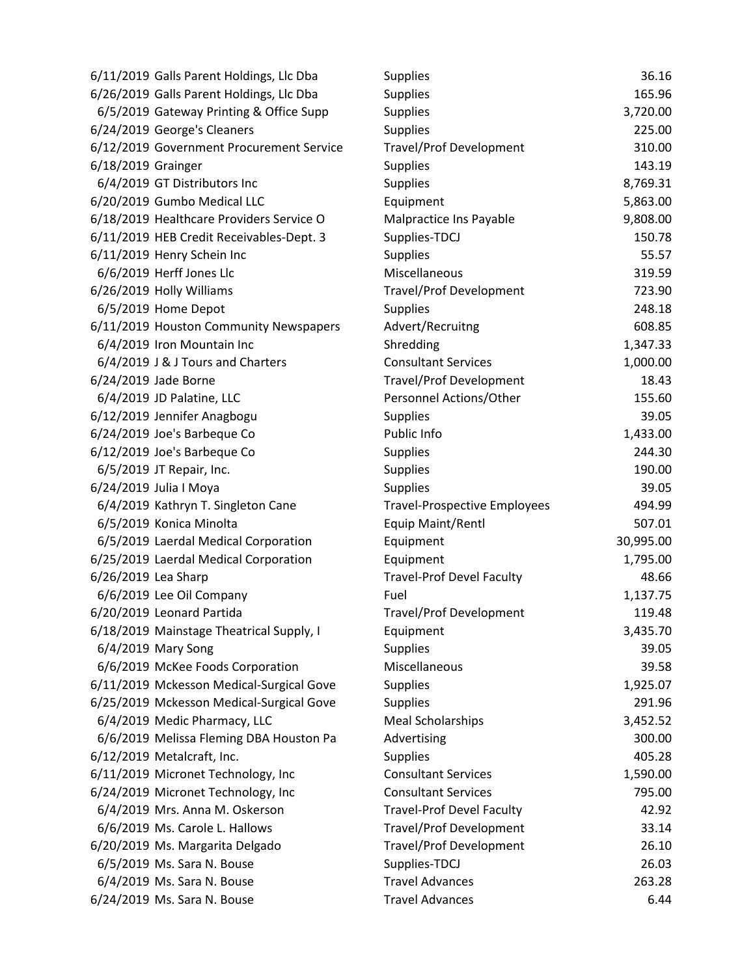|                     | 6/11/2019 Galls Parent Holdings, Llc Dba | <b>Supplies</b>                     | 36.16     |
|---------------------|------------------------------------------|-------------------------------------|-----------|
|                     | 6/26/2019 Galls Parent Holdings, Llc Dba | <b>Supplies</b>                     | 165.96    |
|                     | 6/5/2019 Gateway Printing & Office Supp  | <b>Supplies</b>                     | 3,720.00  |
|                     | 6/24/2019 George's Cleaners              | <b>Supplies</b>                     | 225.00    |
|                     | 6/12/2019 Government Procurement Service | <b>Travel/Prof Development</b>      | 310.00    |
| 6/18/2019 Grainger  |                                          | <b>Supplies</b>                     | 143.19    |
|                     | 6/4/2019 GT Distributors Inc             | <b>Supplies</b>                     | 8,769.31  |
|                     | 6/20/2019 Gumbo Medical LLC              | Equipment                           | 5,863.00  |
|                     | 6/18/2019 Healthcare Providers Service O | Malpractice Ins Payable             | 9,808.00  |
|                     | 6/11/2019 HEB Credit Receivables-Dept. 3 | Supplies-TDCJ                       | 150.78    |
|                     | 6/11/2019 Henry Schein Inc               | <b>Supplies</b>                     | 55.57     |
|                     | 6/6/2019 Herff Jones Llc                 | Miscellaneous                       | 319.59    |
|                     | 6/26/2019 Holly Williams                 | <b>Travel/Prof Development</b>      | 723.90    |
|                     | 6/5/2019 Home Depot                      | <b>Supplies</b>                     | 248.18    |
|                     | 6/11/2019 Houston Community Newspapers   | Advert/Recruitng                    | 608.85    |
|                     | 6/4/2019 Iron Mountain Inc               | Shredding                           | 1,347.33  |
|                     | 6/4/2019 J & J Tours and Charters        | <b>Consultant Services</b>          | 1,000.00  |
|                     | 6/24/2019 Jade Borne                     | <b>Travel/Prof Development</b>      | 18.43     |
|                     | 6/4/2019 JD Palatine, LLC                | Personnel Actions/Other             | 155.60    |
|                     | 6/12/2019 Jennifer Anagbogu              | <b>Supplies</b>                     | 39.05     |
|                     | 6/24/2019 Joe's Barbeque Co              | Public Info                         | 1,433.00  |
|                     | 6/12/2019 Joe's Barbeque Co              | <b>Supplies</b>                     | 244.30    |
|                     | 6/5/2019 JT Repair, Inc.                 | <b>Supplies</b>                     | 190.00    |
|                     |                                          |                                     |           |
|                     | 6/24/2019 Julia I Moya                   | <b>Supplies</b>                     | 39.05     |
|                     | 6/4/2019 Kathryn T. Singleton Cane       | <b>Travel-Prospective Employees</b> | 494.99    |
|                     | 6/5/2019 Konica Minolta                  | Equip Maint/Rentl                   | 507.01    |
|                     | 6/5/2019 Laerdal Medical Corporation     | Equipment                           | 30,995.00 |
|                     | 6/25/2019 Laerdal Medical Corporation    | Equipment                           | 1,795.00  |
| 6/26/2019 Lea Sharp |                                          | <b>Travel-Prof Devel Faculty</b>    | 48.66     |
|                     | 6/6/2019 Lee Oil Company                 | Fuel                                | 1,137.75  |
|                     | 6/20/2019 Leonard Partida                | <b>Travel/Prof Development</b>      | 119.48    |
|                     | 6/18/2019 Mainstage Theatrical Supply, I | Equipment                           | 3,435.70  |
|                     | 6/4/2019 Mary Song                       | <b>Supplies</b>                     | 39.05     |
|                     | 6/6/2019 McKee Foods Corporation         | Miscellaneous                       | 39.58     |
|                     | 6/11/2019 Mckesson Medical-Surgical Gove | <b>Supplies</b>                     | 1,925.07  |
|                     | 6/25/2019 Mckesson Medical-Surgical Gove | <b>Supplies</b>                     | 291.96    |
|                     | 6/4/2019 Medic Pharmacy, LLC             | <b>Meal Scholarships</b>            | 3,452.52  |
|                     | 6/6/2019 Melissa Fleming DBA Houston Pa  | Advertising                         | 300.00    |
|                     | 6/12/2019 Metalcraft, Inc.               | <b>Supplies</b>                     | 405.28    |
|                     | 6/11/2019 Micronet Technology, Inc       | <b>Consultant Services</b>          | 1,590.00  |
|                     | 6/24/2019 Micronet Technology, Inc       | <b>Consultant Services</b>          | 795.00    |
|                     | 6/4/2019 Mrs. Anna M. Oskerson           | <b>Travel-Prof Devel Faculty</b>    | 42.92     |
|                     | 6/6/2019 Ms. Carole L. Hallows           | <b>Travel/Prof Development</b>      | 33.14     |
|                     | 6/20/2019 Ms. Margarita Delgado          | <b>Travel/Prof Development</b>      | 26.10     |
|                     | 6/5/2019 Ms. Sara N. Bouse               | Supplies-TDCJ                       | 26.03     |
|                     | 6/4/2019 Ms. Sara N. Bouse               | <b>Travel Advances</b>              | 263.28    |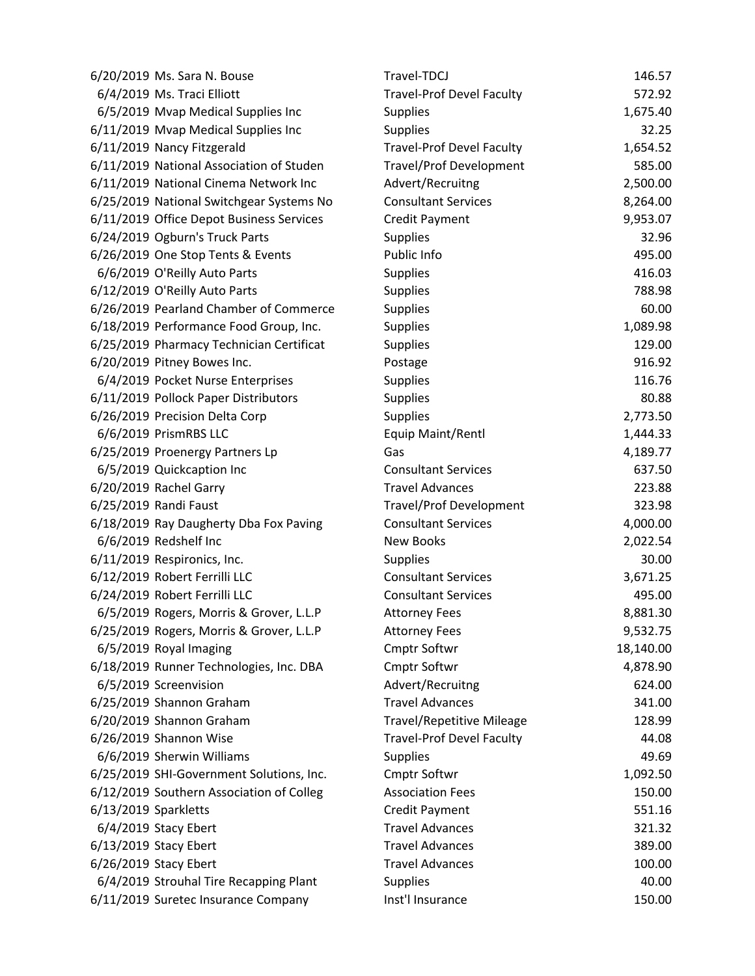| 6/20/2019 Ms. Sara N. Bouse              | Travel-TDCJ                      | 146.57    |
|------------------------------------------|----------------------------------|-----------|
| 6/4/2019 Ms. Traci Elliott               | <b>Travel-Prof Devel Faculty</b> | 572.92    |
| 6/5/2019 Mvap Medical Supplies Inc       | <b>Supplies</b>                  | 1,675.40  |
| 6/11/2019 Mvap Medical Supplies Inc      | <b>Supplies</b>                  | 32.25     |
| 6/11/2019 Nancy Fitzgerald               | <b>Travel-Prof Devel Faculty</b> | 1,654.52  |
| 6/11/2019 National Association of Studen | Travel/Prof Development          | 585.00    |
| 6/11/2019 National Cinema Network Inc    | Advert/Recruitng                 | 2,500.00  |
| 6/25/2019 National Switchgear Systems No | <b>Consultant Services</b>       | 8,264.00  |
| 6/11/2019 Office Depot Business Services | <b>Credit Payment</b>            | 9,953.07  |
| 6/24/2019 Ogburn's Truck Parts           | <b>Supplies</b>                  | 32.96     |
| 6/26/2019 One Stop Tents & Events        | Public Info                      | 495.00    |
| 6/6/2019 O'Reilly Auto Parts             | <b>Supplies</b>                  | 416.03    |
| 6/12/2019 O'Reilly Auto Parts            | <b>Supplies</b>                  | 788.98    |
| 6/26/2019 Pearland Chamber of Commerce   | <b>Supplies</b>                  | 60.00     |
| 6/18/2019 Performance Food Group, Inc.   | <b>Supplies</b>                  | 1,089.98  |
| 6/25/2019 Pharmacy Technician Certificat | <b>Supplies</b>                  | 129.00    |
| 6/20/2019 Pitney Bowes Inc.              | Postage                          | 916.92    |
| 6/4/2019 Pocket Nurse Enterprises        | <b>Supplies</b>                  | 116.76    |
| 6/11/2019 Pollock Paper Distributors     | <b>Supplies</b>                  | 80.88     |
| 6/26/2019 Precision Delta Corp           | <b>Supplies</b>                  | 2,773.50  |
| 6/6/2019 PrismRBS LLC                    | Equip Maint/Rentl                | 1,444.33  |
| 6/25/2019 Proenergy Partners Lp          | Gas                              | 4,189.77  |
| 6/5/2019 Quickcaption Inc                | <b>Consultant Services</b>       | 637.50    |
| 6/20/2019 Rachel Garry                   | <b>Travel Advances</b>           | 223.88    |
| 6/25/2019 Randi Faust                    | <b>Travel/Prof Development</b>   | 323.98    |
| 6/18/2019 Ray Daugherty Dba Fox Paving   | <b>Consultant Services</b>       | 4,000.00  |
| 6/6/2019 Redshelf Inc                    | <b>New Books</b>                 | 2,022.54  |
| 6/11/2019 Respironics, Inc.              | <b>Supplies</b>                  | 30.00     |
| 6/12/2019 Robert Ferrilli LLC            | <b>Consultant Services</b>       | 3,671.25  |
| 6/24/2019 Robert Ferrilli LLC            | <b>Consultant Services</b>       | 495.00    |
| 6/5/2019 Rogers, Morris & Grover, L.L.P  | <b>Attorney Fees</b>             | 8,881.30  |
| 6/25/2019 Rogers, Morris & Grover, L.L.P | <b>Attorney Fees</b>             | 9,532.75  |
| 6/5/2019 Royal Imaging                   | Cmptr Softwr                     | 18,140.00 |
| 6/18/2019 Runner Technologies, Inc. DBA  | <b>Cmptr Softwr</b>              | 4,878.90  |
| 6/5/2019 Screenvision                    | Advert/Recruitng                 | 624.00    |
| 6/25/2019 Shannon Graham                 | <b>Travel Advances</b>           | 341.00    |
| 6/20/2019 Shannon Graham                 | <b>Travel/Repetitive Mileage</b> | 128.99    |
| 6/26/2019 Shannon Wise                   | <b>Travel-Prof Devel Faculty</b> | 44.08     |
| 6/6/2019 Sherwin Williams                | <b>Supplies</b>                  | 49.69     |
| 6/25/2019 SHI-Government Solutions, Inc. | <b>Cmptr Softwr</b>              | 1,092.50  |
| 6/12/2019 Southern Association of Colleg | <b>Association Fees</b>          | 150.00    |
| 6/13/2019 Sparkletts                     | <b>Credit Payment</b>            | 551.16    |
| 6/4/2019 Stacy Ebert                     | <b>Travel Advances</b>           | 321.32    |
| 6/13/2019 Stacy Ebert                    | <b>Travel Advances</b>           | 389.00    |
| 6/26/2019 Stacy Ebert                    | <b>Travel Advances</b>           | 100.00    |
| 6/4/2019 Strouhal Tire Recapping Plant   | <b>Supplies</b>                  | 40.00     |
| 6/11/2019 Suretec Insurance Company      | Inst'l Insurance                 | 150.00    |